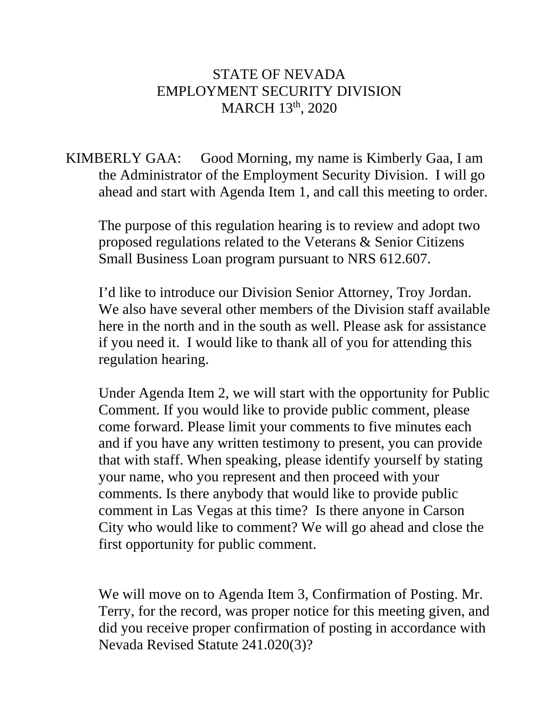## STATE OF NEVADA EMPLOYMENT SECURITY DIVISION MARCH 13th, 2020

KIMBERLY GAA: Good Morning, my name is Kimberly Gaa, I am the Administrator of the Employment Security Division. I will go ahead and start with Agenda Item 1, and call this meeting to order.

The purpose of this regulation hearing is to review and adopt two proposed regulations related to the Veterans & Senior Citizens Small Business Loan program pursuant to NRS 612.607.

I'd like to introduce our Division Senior Attorney, Troy Jordan. We also have several other members of the Division staff available here in the north and in the south as well. Please ask for assistance if you need it. I would like to thank all of you for attending this regulation hearing.

Under Agenda Item 2, we will start with the opportunity for Public Comment. If you would like to provide public comment, please come forward. Please limit your comments to five minutes each and if you have any written testimony to present, you can provide that with staff. When speaking, please identify yourself by stating your name, who you represent and then proceed with your comments. Is there anybody that would like to provide public comment in Las Vegas at this time? Is there anyone in Carson City who would like to comment? We will go ahead and close the first opportunity for public comment.

We will move on to Agenda Item 3, Confirmation of Posting. Mr. Terry, for the record, was proper notice for this meeting given, and did you receive proper confirmation of posting in accordance with Nevada Revised Statute 241.020(3)?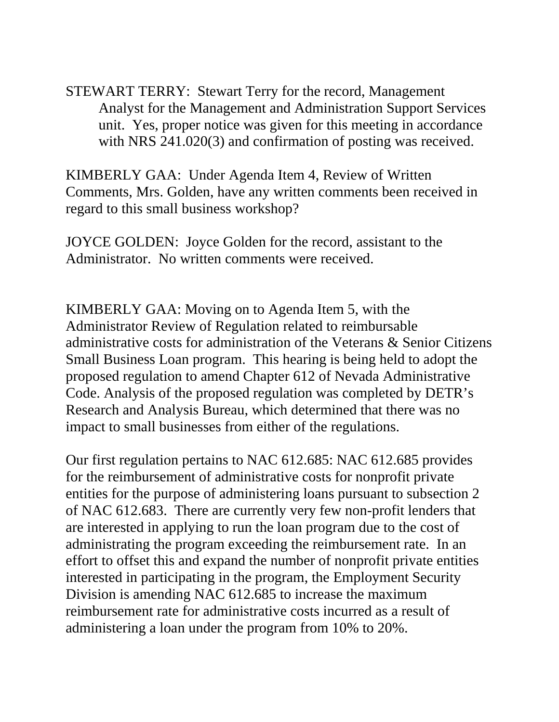STEWART TERRY: Stewart Terry for the record, Management Analyst for the Management and Administration Support Services unit. Yes, proper notice was given for this meeting in accordance with NRS 241.020(3) and confirmation of posting was received.

KIMBERLY GAA: Under Agenda Item 4, Review of Written Comments, Mrs. Golden, have any written comments been received in regard to this small business workshop?

JOYCE GOLDEN: Joyce Golden for the record, assistant to the Administrator. No written comments were received.

KIMBERLY GAA: Moving on to Agenda Item 5, with the Administrator Review of Regulation related to reimbursable administrative costs for administration of the Veterans & Senior Citizens Small Business Loan program. This hearing is being held to adopt the proposed regulation to amend Chapter 612 of Nevada Administrative Code. Analysis of the proposed regulation was completed by DETR's Research and Analysis Bureau, which determined that there was no impact to small businesses from either of the regulations.

Our first regulation pertains to NAC 612.685: NAC 612.685 provides for the reimbursement of administrative costs for nonprofit private entities for the purpose of administering loans pursuant to subsection 2 of NAC 612.683. There are currently very few non-profit lenders that are interested in applying to run the loan program due to the cost of administrating the program exceeding the reimbursement rate. In an effort to offset this and expand the number of nonprofit private entities interested in participating in the program, the Employment Security Division is amending NAC 612.685 to increase the maximum reimbursement rate for administrative costs incurred as a result of administering a loan under the program from 10% to 20%.